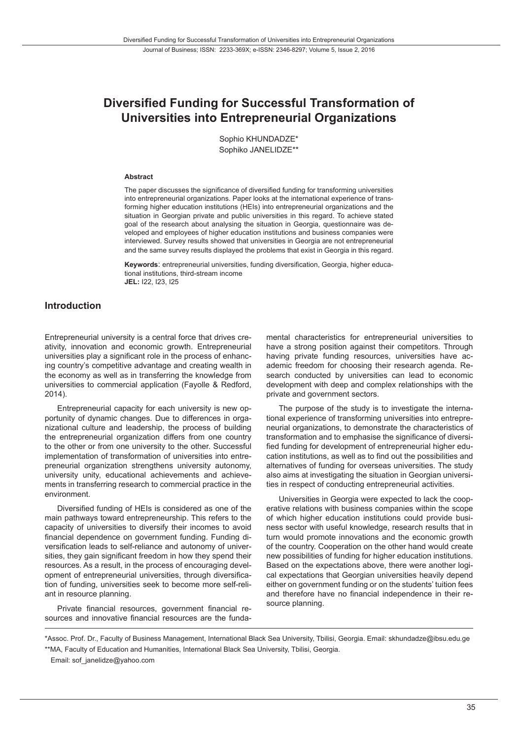# **Diversified Funding for Successful Transformation of Universities into Entrepreneurial Organizations**

Sophio KHUNDADZE\* Sophiko JANELIDZE\*\*

#### **Abstract**

The paper discusses the significance of diversified funding for transforming universities into entrepreneurial organizations. Paper looks at the international experience of transforming higher education institutions (HEIs) into entrepreneurial organizations and the situation in Georgian private and public universities in this regard. To achieve stated goal of the research about analysing the situation in Georgia, questionnaire was developed and employees of higher education institutions and business companies were interviewed. Survey results showed that universities in Georgia are not entrepreneurial and the same survey results displayed the problems that exist in Georgia in this regard.

**Keywords**: entrepreneurial universities, funding diversification, Georgia, higher educational institutions, third-stream income **JEL:** I22, I23, I25

#### **Introduction**

Entrepreneurial university is a central force that drives creativity, innovation and economic growth. Entrepreneurial universities play a significant role in the process of enhancing country's competitive advantage and creating wealth in the economy as well as in transferring the knowledge from universities to commercial application (Fayolle & Redford, 2014).

Entrepreneurial capacity for each university is new opportunity of dynamic changes. Due to differences in organizational culture and leadership, the process of building the entrepreneurial organization differs from one country to the other or from one university to the other. Successful implementation of transformation of universities into entrepreneurial organization strengthens university autonomy, university unity, educational achievements and achievements in transferring research to commercial practice in the environment.

Diversified funding of HEIs is considered as one of the main pathways toward entrepreneurship. This refers to the capacity of universities to diversify their incomes to avoid financial dependence on government funding. Funding diversification leads to self-reliance and autonomy of universities, they gain significant freedom in how they spend their resources. As a result, in the process of encouraging development of entrepreneurial universities, through diversification of funding, universities seek to become more self-reliant in resource planning.

Private financial resources, government financial resources and innovative financial resources are the fundamental characteristics for entrepreneurial universities to have a strong position against their competitors. Through having private funding resources, universities have academic freedom for choosing their research agenda. Research conducted by universities can lead to economic development with deep and complex relationships with the private and government sectors.

The purpose of the study is to investigate the international experience of transforming universities into entrepreneurial organizations, to demonstrate the characteristics of transformation and to emphasise the significance of diversified funding for development of entrepreneurial higher education institutions, as well as to find out the possibilities and alternatives of funding for overseas universities. The study also aims at investigating the situation in Georgian universities in respect of conducting entrepreneurial activities.

Universities in Georgia were expected to lack the cooperative relations with business companies within the scope of which higher education institutions could provide business sector with useful knowledge, research results that in turn would promote innovations and the economic growth of the country. Cooperation on the other hand would create new possibilities of funding for higher education institutions. Based on the expectations above, there were another logical expectations that Georgian universities heavily depend either on government funding or on the students' tuition fees and therefore have no financial independence in their resource planning.

<sup>\*</sup>Assoc. Prof. Dr., Faculty of Business Management, International Black Sea University, Tbilisi, Georgia. Email: skhundadze@ibsu.edu.ge \*\*MA, Faculty of Education and Humanities, International Black Sea University, Tbilisi, Georgia.

Email: sof\_janelidze@yahoo.com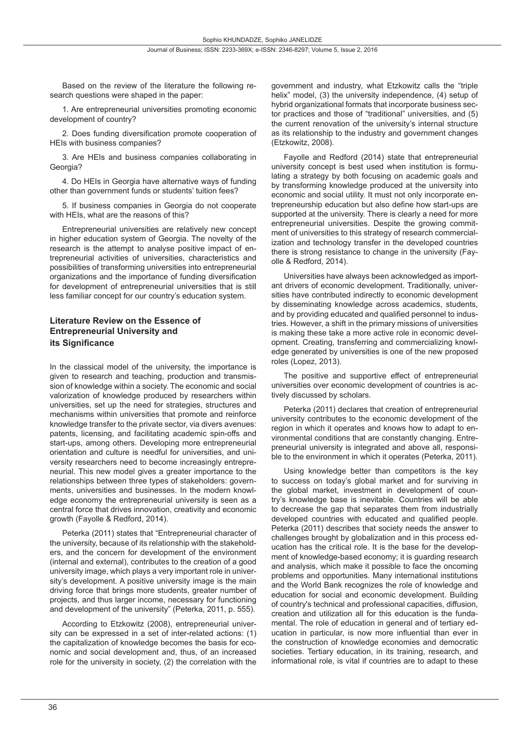Based on the review of the literature the following research questions were shaped in the paper:

1. Are entrepreneurial universities promoting economic development of country?

2. Does funding diversification promote cooperation of HEIs with business companies?

3. Are HEIs and business companies collaborating in Georgia?

4. Do HEIs in Georgia have alternative ways of funding other than government funds or students' tuition fees?

5. If business companies in Georgia do not cooperate with HEIs, what are the reasons of this?

Entrepreneurial universities are relatively new concept in higher education system of Georgia. The novelty of the research is the attempt to analyse positive impact of entrepreneurial activities of universities, characteristics and possibilities of transforming universities into entrepreneurial organizations and the importance of funding diversification for development of entrepreneurial universities that is still less familiar concept for our country's education system.

#### **Literature Review on the Essence of Entrepreneurial University and its Significance**

In the classical model of the university, the importance is given to research and teaching, production and transmission of knowledge within a society. The economic and social valorization of knowledge produced by researchers within universities, set up the need for strategies, structures and mechanisms within universities that promote and reinforce knowledge transfer to the private sector, via divers avenues: patents, licensing, and facilitating academic spin-offs and start-ups, among others. Developing more entrepreneurial orientation and culture is needful for universities, and university researchers need to become increasingly entrepreneurial. This new model gives a greater importance to the relationships between three types of stakeholders: governments, universities and businesses. In the modern knowledge economy the entrepreneurial university is seen as a central force that drives innovation, creativity and economic growth (Fayolle & Redford, 2014).

Peterka (2011) states that "Entrepreneurial character of the university, because of its relationship with the stakeholders, and the concern for development of the environment (internal and external), contributes to the creation of a good university image, which plays a very important role in university's development. A positive university image is the main driving force that brings more students, greater number of projects, and thus larger income, necessary for functioning and development of the university" (Peterka, 2011, p. 555).

According to Etzkowitz (2008), entrepreneurial university can be expressed in a set of inter-related actions: (1) the capitalization of knowledge becomes the basis for economic and social development and, thus, of an increased role for the university in society, (2) the correlation with the

government and industry, what Etzkowitz calls the "triple helix" model, (3) the university independence, (4) setup of hybrid organizational formats that incorporate business sector practices and those of "traditional" universities, and (5) the current renovation of the university's internal structure as its relationship to the industry and government changes (Etzkowitz, 2008).

Fayolle and Redford (2014) state that entrepreneurial university concept is best used when institution is formulating a strategy by both focusing on academic goals and by transforming knowledge produced at the university into economic and social utility. It must not only incorporate entrepreneurship education but also define how start-ups are supported at the university. There is clearly a need for more entrepreneurial universities. Despite the growing commitment of universities to this strategy of research commercialization and technology transfer in the developed countries there is strong resistance to change in the university (Fayolle & Redford, 2014).

Universities have always been acknowledged as important drivers of economic development. Traditionally, universities have contributed indirectly to economic development by disseminating knowledge across academics, students, and by providing educated and qualified personnel to industries. However, a shift in the primary missions of universities is making these take a more active role in economic development. Creating, transferring and commercializing knowledge generated by universities is one of the new proposed roles (Lopez, 2013).

The positive and supportive effect of entrepreneurial universities over economic development of countries is actively discussed by scholars.

Peterka (2011) declares that creation of entrepreneurial university contributes to the economic development of the region in which it operates and knows how to adapt to environmental conditions that are constantly changing. Entrepreneurial university is integrated and above all, responsible to the environment in which it operates (Peterka, 2011).

Using knowledge better than competitors is the key to success on today's global market and for surviving in the global market, investment in development of country's knowledge base is inevitable. Countries will be able to decrease the gap that separates them from industrially developed countries with educated and qualified people. Peterka (2011) describes that society needs the answer to challenges brought by globalization and in this process education has the critical role. It is the base for the development of knowledge-based economy; it is guarding research and analysis, which make it possible to face the oncoming problems and opportunities. Many international institutions and the World Bank recognizes the role of knowledge and education for social and economic development. Building of country's technical and professional capacities, diffusion, creation and utilization all for this education is the fundamental. The role of education in general and of tertiary education in particular, is now more influential than ever in the construction of knowledge economies and democratic societies. Tertiary education, in its training, research, and informational role, is vital if countries are to adapt to these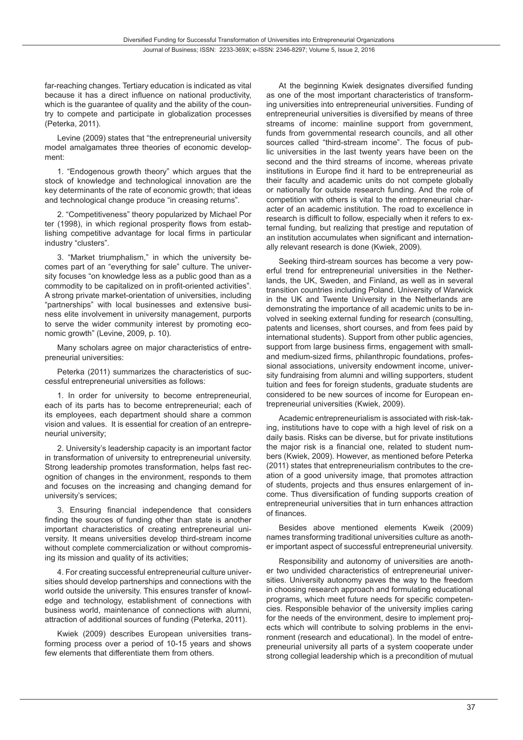far-reaching changes. Tertiary education is indicated as vital because it has a direct influence on national productivity, which is the guarantee of quality and the ability of the country to compete and participate in globalization processes (Peterka, 2011).

Levine (2009) states that "the entrepreneurial university model amalgamates three theories of economic development:

1. "Endogenous growth theory" which argues that the stock of knowledge and technological innovation are the key determinants of the rate of economic growth; that ideas and technological change produce "in creasing returns".

2. "Competitiveness" theory popularized by Michael Por ter (1998), in which regional prosperity flows from establishing competitive advantage for local firms in particular industry "clusters".

3. "Market triumphalism," in which the university becomes part of an "everything for sale" culture. The university focuses "on knowledge less as a public good than as a commodity to be capitalized on in profit-oriented activities". A strong private market-orientation of universities, including "partnerships" with local businesses and extensive business elite involvement in university management, purports to serve the wider community interest by promoting economic growth" (Levine, 2009, p. 10).

Many scholars agree on major characteristics of entrepreneurial universities:

Peterka (2011) summarizes the characteristics of successful entrepreneurial universities as follows:

1. In order for university to become entrepreneurial, each of its parts has to become entrepreneurial; each of its employees, each department should share a common vision and values. It is essential for creation of an entrepreneurial university;

2. University's leadership capacity is an important factor in transformation of university to entrepreneurial university. Strong leadership promotes transformation, helps fast recognition of changes in the environment, responds to them and focuses on the increasing and changing demand for university's services;

3. Ensuring financial independence that considers finding the sources of funding other than state is another important characteristics of creating entrepreneurial university. It means universities develop third-stream income without complete commercialization or without compromising its mission and quality of its activities;

4. For creating successful entrepreneurial culture universities should develop partnerships and connections with the world outside the university. This ensures transfer of knowledge and technology, establishment of connections with business world, maintenance of connections with alumni, attraction of additional sources of funding (Peterka, 2011).

Kwiek (2009) describes European universities transforming process over a period of 10-15 years and shows few elements that differentiate them from others.

At the beginning Kwiek designates diversified funding as one of the most important characteristics of transforming universities into entrepreneurial universities. Funding of entrepreneurial universities is diversified by means of three streams of income: mainline support from government, funds from governmental research councils, and all other sources called "third-stream income". The focus of public universities in the last twenty years have been on the second and the third streams of income, whereas private institutions in Europe find it hard to be entrepreneurial as their faculty and academic units do not compete globally or nationally for outside research funding. And the role of competition with others is vital to the entrepreneurial character of an academic institution. The road to excellence in research is difficult to follow, especially when it refers to external funding, but realizing that prestige and reputation of an institution accumulates when significant and internationally relevant research is done (Kwiek, 2009).

Seeking third-stream sources has become a very powerful trend for entrepreneurial universities in the Netherlands, the UK, Sweden, and Finland, as well as in several transition countries including Poland. University of Warwick in the UK and Twente University in the Netherlands are demonstrating the importance of all academic units to be involved in seeking external funding for research (consulting, patents and licenses, short courses, and from fees paid by international students). Support from other public agencies, support from large business firms, engagement with smalland medium-sized firms, philanthropic foundations, professional associations, university endowment income, university fundraising from alumni and willing supporters, student tuition and fees for foreign students, graduate students are considered to be new sources of income for European entrepreneurial universities (Kwiek, 2009).

Academic entrepreneurialism is associated with risk-taking, institutions have to cope with a high level of risk on a daily basis. Risks can be diverse, but for private institutions the major risk is a financial one, related to student numbers (Kwiek, 2009). However, as mentioned before Peterka (2011) states that entrepreneurialism contributes to the creation of a good university image, that promotes attraction of students, projects and thus ensures enlargement of income. Thus diversification of funding supports creation of entrepreneurial universities that in turn enhances attraction of finances.

Besides above mentioned elements Kweik (2009) names transforming traditional universities culture as another important aspect of successful entrepreneurial university.

Responsibility and autonomy of universities are another two undivided characteristics of entrepreneurial universities. University autonomy paves the way to the freedom in choosing research approach and formulating educational programs, which meet future needs for specific competencies. Responsible behavior of the university implies caring for the needs of the environment, desire to implement projects which will contribute to solving problems in the environment (research and educational). In the model of entrepreneurial university all parts of a system cooperate under strong collegial leadership which is a precondition of mutual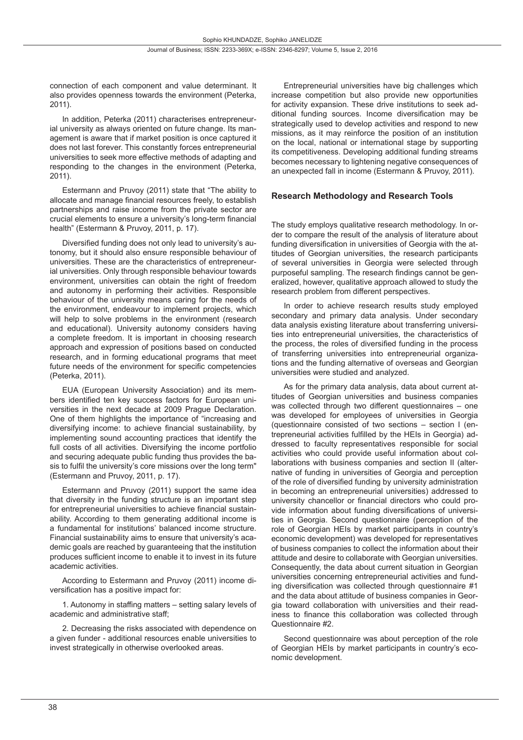connection of each component and value determinant. It also provides openness towards the environment (Peterka, 2011).

In addition, Peterka (2011) characterises entrepreneurial university as always oriented on future change. Its management is aware that if market position is once captured it does not last forever. This constantly forces entrepreneurial universities to seek more effective methods of adapting and responding to the changes in the environment (Peterka, 2011).

Estermann and Pruvoy (2011) state that "The ability to allocate and manage financial resources freely, to establish partnerships and raise income from the private sector are crucial elements to ensure a university's long-term financial health" (Estermann & Pruvoy, 2011, p. 17).

Diversified funding does not only lead to university's autonomy, but it should also ensure responsible behaviour of universities. These are the characteristics of entrepreneurial universities. Only through responsible behaviour towards environment, universities can obtain the right of freedom and autonomy in performing their activities. Responsible behaviour of the university means caring for the needs of the environment, endeavour to implement projects, which will help to solve problems in the environment (research and educational). University autonomy considers having a complete freedom. It is important in choosing research approach and expression of positions based on conducted research, and in forming educational programs that meet future needs of the environment for specific competencies (Peterka, 2011).

EUA (European University Association) and its members identified ten key success factors for European universities in the next decade at 2009 Prague Declaration. One of them highlights the importance of "increasing and diversifying income: to achieve financial sustainability, by implementing sound accounting practices that identify the full costs of all activities. Diversifying the income portfolio and securing adequate public funding thus provides the basis to fulfil the university's core missions over the long term" (Estermann and Pruvoy, 2011, p. 17).

Estermann and Pruvoy (2011) support the same idea that diversity in the funding structure is an important step for entrepreneurial universities to achieve financial sustainability. According to them generating additional income is a fundamental for institutions' balanced income structure. Financial sustainability aims to ensure that university's academic goals are reached by guaranteeing that the institution produces sufficient income to enable it to invest in its future academic activities.

According to Estermann and Pruvoy (2011) income diversification has a positive impact for:

1. Autonomy in staffing matters – setting salary levels of academic and administrative staff;

2. Decreasing the risks associated with dependence on a given funder - additional resources enable universities to invest strategically in otherwise overlooked areas.

Entrepreneurial universities have big challenges which increase competition but also provide new opportunities for activity expansion. These drive institutions to seek additional funding sources. Income diversification may be strategically used to develop activities and respond to new missions, as it may reinforce the position of an institution on the local, national or international stage by supporting its competitiveness. Developing additional funding streams becomes necessary to lightening negative consequences of an unexpected fall in income (Estermann & Pruvoy, 2011).

#### **Research Methodology and Research Tools**

The study employs qualitative research methodology. In order to compare the result of the analysis of literature about funding diversification in universities of Georgia with the attitudes of Georgian universities, the research participants of several universities in Georgia were selected through purposeful sampling. The research findings cannot be generalized, however, qualitative approach allowed to study the research problem from different perspectives.

In order to achieve research results study employed secondary and primary data analysis. Under secondary data analysis existing literature about transferring universities into entrepreneurial universities, the characteristics of the process, the roles of diversified funding in the process of transferring universities into entrepreneurial organizations and the funding alternative of overseas and Georgian universities were studied and analyzed.

As for the primary data analysis, data about current attitudes of Georgian universities and business companies was collected through two different questionnaires – one was developed for employees of universities in Georgia (questionnaire consisted of two sections – section I (entrepreneurial activities fulfilled by the HEIs in Georgia) addressed to faculty representatives responsible for social activities who could provide useful information about collaborations with business companies and section II (alternative of funding in universities of Georgia and perception of the role of diversified funding by university administration in becoming an entrepreneurial universities) addressed to university chancellor or financial directors who could provide information about funding diversifications of universities in Georgia. Second questionnaire (perception of the role of Georgian HEIs by market participants in country's economic development) was developed for representatives of business companies to collect the information about their attitude and desire to collaborate with Georgian universities. Consequently, the data about current situation in Georgian universities concerning entrepreneurial activities and funding diversification was collected through questionnaire #1 and the data about attitude of business companies in Georgia toward collaboration with universities and their readiness to finance this collaboration was collected through Questionnaire #2.

Second questionnaire was about perception of the role of Georgian HEIs by market participants in country's economic development.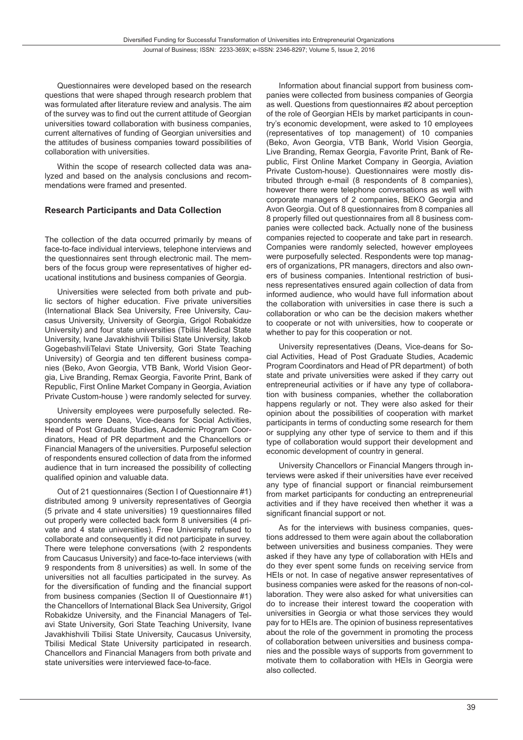Questionnaires were developed based on the research questions that were shaped through research problem that was formulated after literature review and analysis. The aim of the survey was to find out the current attitude of Georgian universities toward collaboration with business companies, current alternatives of funding of Georgian universities and the attitudes of business companies toward possibilities of collaboration with universities.

Within the scope of research collected data was analyzed and based on the analysis conclusions and recommendations were framed and presented.

#### **Research Participants and Data Collection**

The collection of the data occurred primarily by means of face-to-face individual interviews, telephone interviews and the questionnaires sent through electronic mail. The members of the focus group were representatives of higher educational institutions and business companies of Georgia.

Universities were selected from both private and public sectors of higher education. Five private universities (International Black Sea University, Free University, Caucasus University, University of Georgia, Grigol Robakidze University) and four state universities (Tbilisi Medical State University, Ivane Javakhishvili Tbilisi State University, Iakob GogebashviliTelavi State University, Gori State Teaching University) of Georgia and ten different business companies (Beko, Avon Georgia, VTB Bank, World Vision Georgia, Live Branding, Remax Georgia, Favorite Print, Bank of Republic, First Online Market Company in Georgia, Aviation Private Custom-house ) were randomly selected for survey.

University employees were purposefully selected. Respondents were Deans, Vice-deans for Social Activities, Head of Post Graduate Studies, Academic Program Coordinators, Head of PR department and the Chancellors or Financial Managers of the universities. Purposeful selection of respondents ensured collection of data from the informed audience that in turn increased the possibility of collecting qualified opinion and valuable data.

Out of 21 questionnaires (Section I of Questionnaire #1) distributed among 9 university representatives of Georgia (5 private and 4 state universities) 19 questionnaires filled out properly were collected back form 8 universities (4 private and 4 state universities). Free University refused to collaborate and consequently it did not participate in survey. There were telephone conversations (with 2 respondents from Caucasus University) and face-to-face interviews (with 9 respondents from 8 universities) as well. In some of the universities not all faculties participated in the survey. As for the diversification of funding and the financial support from business companies (Section II of Questionnaire #1) the Chancellors of International Black Sea University, Grigol Robakidze University, and the Financial Managers of Telavi State University, Gori State Teaching University, Ivane Javakhishvili Tbilisi State University, Caucasus University, Tbilisi Medical State University participated in research. Chancellors and Financial Managers from both private and state universities were interviewed face-to-face.

Information about financial support from business companies were collected from business companies of Georgia as well. Questions from questionnaires #2 about perception of the role of Georgian HEIs by market participants in country's economic development, were asked to 10 employees (representatives of top management) of 10 companies (Beko, Avon Georgia, VTB Bank, World Vision Georgia, Live Branding, Remax Georgia, Favorite Print, Bank of Republic, First Online Market Company in Georgia, Aviation Private Custom-house). Questionnaires were mostly distributed through e-mail (8 respondents of 8 companies), however there were telephone conversations as well with corporate managers of 2 companies, BEKO Georgia and Avon Georgia. Out of 8 questionnaires from 8 companies all 8 properly filled out questionnaires from all 8 business companies were collected back. Actually none of the business companies rejected to cooperate and take part in research. Companies were randomly selected, however employees were purposefully selected. Respondents were top managers of organizations, PR managers, directors and also owners of business companies. Intentional restriction of business representatives ensured again collection of data from informed audience, who would have full information about the collaboration with universities in case there is such a collaboration or who can be the decision makers whether to cooperate or not with universities, how to cooperate or whether to pay for this cooperation or not.

University representatives (Deans, Vice-deans for Social Activities, Head of Post Graduate Studies, Academic Program Coordinators and Head of PR department) of both state and private universities were asked if they carry out entrepreneurial activities or if have any type of collaboration with business companies, whether the collaboration happens regularly or not. They were also asked for their opinion about the possibilities of cooperation with market participants in terms of conducting some research for them or supplying any other type of service to them and if this type of collaboration would support their development and economic development of country in general.

University Chancellors or Financial Mangers through interviews were asked if their universities have ever received any type of financial support or financial reimbursement from market participants for conducting an entrepreneurial activities and if they have received then whether it was a significant financial support or not.

As for the interviews with business companies, questions addressed to them were again about the collaboration between universities and business companies. They were asked if they have any type of collaboration with HEIs and do they ever spent some funds on receiving service from HEIs or not. In case of negative answer representatives of business companies were asked for the reasons of non-collaboration. They were also asked for what universities can do to increase their interest toward the cooperation with universities in Georgia or what those services they would pay for to HEIs are. The opinion of business representatives about the role of the government in promoting the process of collaboration between universities and business companies and the possible ways of supports from government to motivate them to collaboration with HEIs in Georgia were also collected.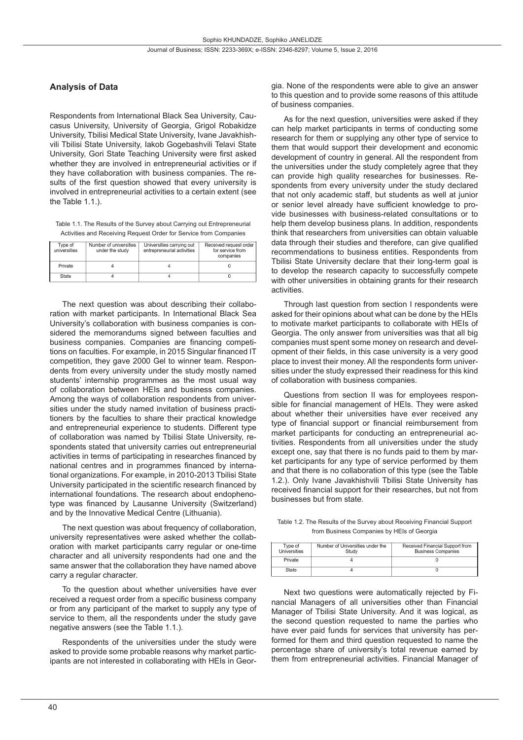### **Analysis of Data**

Respondents from International Black Sea University, Caucasus University, University of Georgia, Grigol Robakidze University, Tbilisi Medical State University, Ivane Javakhishvili Tbilisi State University, Iakob Gogebashvili Telavi State University, Gori State Teaching University were first asked whether they are involved in entrepreneurial activities or if they have collaboration with business companies. The results of the first question showed that every university is involved in entrepreneurial activities to a certain extent (see the Table 1.1.).

Table 1.1. The Results of the Survey about Carrying out Entrepreneurial Activities and Receiving Request Order for Service from Companies

| Type of<br>universities | Number of universities<br>under the study | Universities carrying out<br>entrepreneurial activities | Received request order<br>for service from<br>companies |
|-------------------------|-------------------------------------------|---------------------------------------------------------|---------------------------------------------------------|
| Private                 |                                           |                                                         |                                                         |
| State                   |                                           |                                                         |                                                         |

The next question was about describing their collaboration with market participants. In International Black Sea University's collaboration with business companies is considered the memorandums signed between faculties and business companies. Companies are financing competitions on faculties. For example, in 2015 Singular financed IT competition, they gave 2000 Gel to winner team. Respondents from every university under the study mostly named students' internship programmes as the most usual way of collaboration between HEIs and business companies. Among the ways of collaboration respondents from universities under the study named invitation of business practitioners by the faculties to share their practical knowledge and entrepreneurial experience to students. Different type of collaboration was named by Tbilisi State University, respondents stated that university carries out entrepreneurial activities in terms of participating in researches financed by national centres and in programmes financed by international organizations. For example, in 2010-2013 Tbilisi State University participated in the scientific research financed by international foundations. The research about endophenotype was financed by Lausanne University (Switzerland) and by the Innovative Medical Centre (Lithuania).

The next question was about frequency of collaboration, university representatives were asked whether the collaboration with market participants carry regular or one-time character and all university respondents had one and the same answer that the collaboration they have named above carry a regular character.

To the question about whether universities have ever received a request order from a specific business company or from any participant of the market to supply any type of service to them, all the respondents under the study gave negative answers (see the Table 1.1.).

Respondents of the universities under the study were asked to provide some probable reasons why market participants are not interested in collaborating with HEIs in Geor-

gia. None of the respondents were able to give an answer to this question and to provide some reasons of this attitude of business companies.

As for the next question, universities were asked if they can help market participants in terms of conducting some research for them or supplying any other type of service to them that would support their development and economic development of country in general. All the respondent from the universities under the study completely agree that they can provide high quality researches for businesses. Respondents from every university under the study declared that not only academic staff, but students as well at junior or senior level already have sufficient knowledge to provide businesses with business-related consultations or to help them develop business plans. In addition, respondents think that researchers from universities can obtain valuable data through their studies and therefore, can give qualified recommendations to business entities. Respondents from Tbilisi State University declare that their long-term goal is to develop the research capacity to successfully compete with other universities in obtaining grants for their research activities.

Through last question from section I respondents were asked for their opinions about what can be done by the HEIs to motivate market participants to collaborate with HEIs of Georgia. The only answer from universities was that all big companies must spent some money on research and development of their fields, in this case university is a very good place to invest their money. All the respondents form universities under the study expressed their readiness for this kind of collaboration with business companies.

Questions from section II was for employees responsible for financial management of HEIs. They were asked about whether their universities have ever received any type of financial support or financial reimbursement from market participants for conducting an entrepreneurial activities. Respondents from all universities under the study except one, say that there is no funds paid to them by market participants for any type of service performed by them and that there is no collaboration of this type (see the Table 1.2.). Only Ivane Javakhishvili Tbilisi State University has received financial support for their researches, but not from businesses but from state.

Table 1.2. The Results of the Survey about Receiving Financial Support from Business Companies by HEIs of Georgia

| Type of      | Number of Universities under the | Received Financial Support from |
|--------------|----------------------------------|---------------------------------|
| Universities | Study                            | <b>Business Companies</b>       |
| Private      |                                  |                                 |
| State        |                                  |                                 |

Next two questions were automatically rejected by Financial Managers of all universities other than Financial Manager of Tbilisi State University. And it was logical, as the second question requested to name the parties who have ever paid funds for services that university has performed for them and third question requested to name the percentage share of university's total revenue earned by them from entrepreneurial activities. Financial Manager of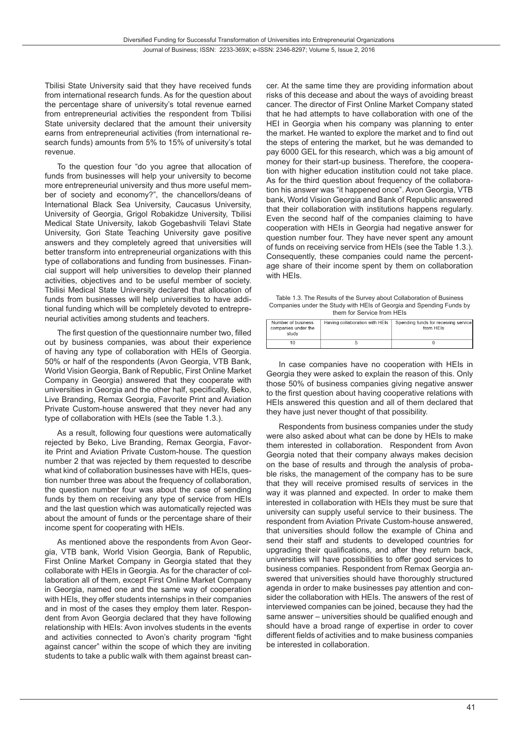Tbilisi State University said that they have received funds from international research funds. As for the question about the percentage share of university's total revenue earned from entrepreneurial activities the respondent from Tbilisi State university declared that the amount their university earns from entrepreneurial activities (from international research funds) amounts from 5% to 15% of university's total revenue.

To the question four "do you agree that allocation of funds from businesses will help your university to become more entrepreneurial university and thus more useful member of society and economy?", the chancellors/deans of International Black Sea University, Caucasus University, University of Georgia, Grigol Robakidze University, Tbilisi Medical State University, Iakob Gogebashvili Telavi State University, Gori State Teaching University gave positive answers and they completely agreed that universities will better transform into entrepreneurial organizations with this type of collaborations and funding from businesses. Financial support will help universities to develop their planned activities, objectives and to be useful member of society. Tbilisi Medical State University declared that allocation of funds from businesses will help universities to have additional funding which will be completely devoted to entrepreneurial activities among students and teachers.

The first question of the questionnaire number two, filled out by business companies, was about their experience of having any type of collaboration with HEIs of Georgia. 50% or half of the respondents (Avon Georgia, VTB Bank, World Vision Georgia, Bank of Republic, First Online Market Company in Georgia) answered that they cooperate with universities in Georgia and the other half, specifically, Beko, Live Branding, Remax Georgia, Favorite Print and Aviation Private Custom-house answered that they never had any type of collaboration with HEIs (see the Table 1.3.).

As a result, following four questions were automatically rejected by Beko, Live Branding, Remax Georgia, Favorite Print and Aviation Private Custom-house. The question number 2 that was rejected by them requested to describe what kind of collaboration businesses have with HEIs, question number three was about the frequency of collaboration, the question number four was about the case of sending funds by them on receiving any type of service from HEIs and the last question which was automatically rejected was about the amount of funds or the percentage share of their income spent for cooperating with HEIs.

As mentioned above the respondents from Avon Georgia, VTB bank, World Vision Georgia, Bank of Republic, First Online Market Company in Georgia stated that they collaborate with HEIs in Georgia. As for the character of collaboration all of them, except First Online Market Company in Georgia, named one and the same way of cooperation with HEIs, they offer students internships in their companies and in most of the cases they employ them later. Respondent from Avon Georgia declared that they have following relationship with HEIs: Avon involves students in the events and activities connected to Avon's charity program "fight against cancer" within the scope of which they are inviting students to take a public walk with them against breast cancer. At the same time they are providing information about risks of this decease and about the ways of avoiding breast cancer. The director of First Online Market Company stated that he had attempts to have collaboration with one of the HEI in Georgia when his company was planning to enter the market. He wanted to explore the market and to find out the steps of entering the market, but he was demanded to pay 6000 GEL for this research, which was a big amount of money for their start-up business. Therefore, the cooperation with higher education institution could not take place. As for the third question about frequency of the collaboration his answer was "it happened once". Avon Georgia, VTB bank, World Vision Georgia and Bank of Republic answered that their collaboration with institutions happens regularly. Even the second half of the companies claiming to have cooperation with HEIs in Georgia had negative answer for question number four. They have never spent any amount of funds on receiving service from HEIs (see the Table 1.3.). Consequently, these companies could name the percentage share of their income spent by them on collaboration with HEIs.

Table 1.3. The Results of the Survey about Collaboration of Business Companies under the Study with HEIs of Georgia and Spending Funds by them for Service from HEIs

| Number of business<br>companies under the<br>study | Having collaboration with HEIs | Spending funds for receiving service<br>from HFIs |
|----------------------------------------------------|--------------------------------|---------------------------------------------------|
|                                                    |                                |                                                   |

In case companies have no cooperation with HEIs in Georgia they were asked to explain the reason of this. Only those 50% of business companies giving negative answer to the first question about having cooperative relations with HEIs answered this question and all of them declared that they have just never thought of that possibility.

Respondents from business companies under the study were also asked about what can be done by HEIs to make them interested in collaboration. Respondent from Avon Georgia noted that their company always makes decision on the base of results and through the analysis of probable risks, the management of the company has to be sure that they will receive promised results of services in the way it was planned and expected. In order to make them interested in collaboration with HEIs they must be sure that university can supply useful service to their business. The respondent from Aviation Private Custom-house answered, that universities should follow the example of China and send their staff and students to developed countries for upgrading their qualifications, and after they return back, universities will have possibilities to offer good services to business companies. Respondent from Remax Georgia answered that universities should have thoroughly structured agenda in order to make businesses pay attention and consider the collaboration with HEIs. The answers of the rest of interviewed companies can be joined, because they had the same answer – universities should be qualified enough and should have a broad range of expertise in order to cover different fields of activities and to make business companies be interested in collaboration.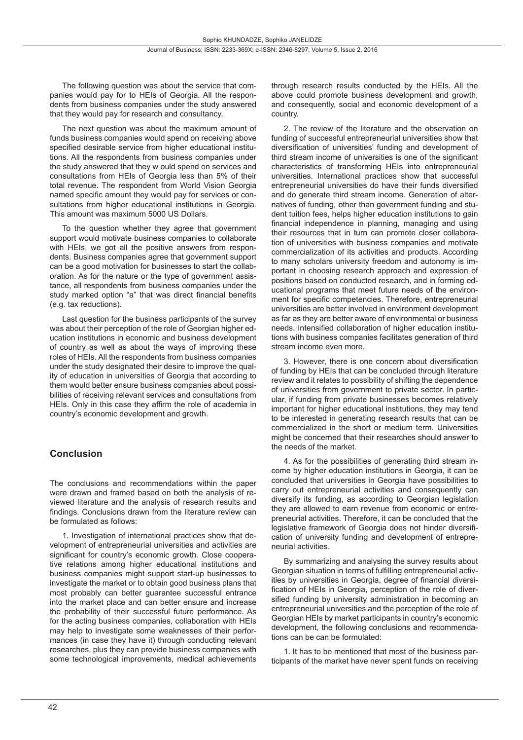The following question was about the service that companies would pay for to HEIs of Georgia. All the respondents from business companies under the study answered that they would pay for research and consultancy.

The next question was about the maximum amount of funds business companies would spend on receiving above specified desirable service from higher educational institutions. All the respondents from business companies under the study answered that they w ould spend on services and consultations from HEIs of Georgia less than 5% of their total revenue. The respondent from World Vision Georgia named specific amount they would pay for services or consultations from higher educational institutions in Georgia. This amount was maximum 5000 US Dollars.

To the question whether they agree that government support would motivate business companies to collaborate with HEIs, we got all the positive answers from respondents. Business companies agree that government support can be a good motivation for businesses to start the collaboration. As for the nature or the type of government assistance, all respondents from business companies under the study marked option "a" that was direct financial benefits (e.g. tax reductions).

Last question for the business participants of the survey was about their perception of the role of Georgian higher education institutions in economic and business development of country as well as about the ways of improving these roles of HEIs. All the respondents from business companies under the study designated their desire to improve the quality of education in universities of Georgia that according to them would better ensure business companies about possibilities of receiving relevant services and consultations from HEIs. Only in this case they affirm the role of academia in country's economic development and growth.

# **Conclusion**

The conclusions and recommendations within the paper were drawn and framed based on both the analysis of reviewed literature and the analysis of research results and findings. Conclusions drawn from the literature review can be formulated as follows:

1. Investigation of international practices show that development of entrepreneurial universities and activities are significant for country's economic growth. Close cooperative relations among higher educational institutions and business companies might support start-up businesses to investigate the market or to obtain good business plans that most probably can better guarantee successful entrance into the market place and can better ensure and increase the probability of their successful future performance. As for the acting business companies, collaboration with HEIs may help to investigate some weaknesses of their performances (in case they have it) through conducting relevant researches, plus they can provide business companies with some technological improvements, medical achievements through research results conducted by the HEIs. All the above could promote business development and growth, and consequently, social and economic development of a country.

2. The review of the literature and the observation on funding of successful entrepreneurial universities show that diversification of universities' funding and development of third stream income of universities is one of the significant characteristics of transforming HEIs into entrepreneurial universities. International practices show that successful entrepreneurial universities do have their funds diversified and do generate third stream income. Generation of alternatives of funding, other than government funding and student tuition fees, helps higher education institutions to gain financial independence in planning, managing and using their resources that in turn can promote closer collaboration of universities with business companies and motivate commercialization of its activities and products. According to many scholars university freedom and autonomy is important in choosing research approach and expression of positions based on conducted research, and in forming educational programs that meet future needs of the environment for specific competencies. Therefore, entrepreneurial universities are better involved in environment development as far as they are better aware of environmental or business needs. Intensified collaboration of higher education institutions with business companies facilitates generation of third stream income even more.

3. However, there is one concern about diversification of funding by HEIs that can be concluded through literature review and it relates to possibility of shifting the dependence of universities from government to private sector. In particular, if funding from private businesses becomes relatively important for higher educational institutions, they may tend to be interested in generating research results that can be commercialized in the short or medium term. Universities might be concerned that their researches should answer to the needs of the market.

4. As for the possibilities of generating third stream income by higher education institutions in Georgia, it can be concluded that universities in Georgia have possibilities to carry out entrepreneurial activities and consequently can diversify its funding, as according to Georgian legislation they are allowed to earn revenue from economic or entrepreneurial activities. Therefore, it can be concluded that the legislative framework of Georgia does not hinder diversification of university funding and development of entrepreneurial activities.

By summarizing and analysing the survey results about Georgian situation in terms of fulfilling entrepreneurial activities by universities in Georgia, degree of financial diversification of HEIs in Georgia, perception of the role of diversified funding by university administration in becoming an entrepreneurial universities and the perception of the role of Georgian HEIs by market participants in country's economic development, the following conclusions and recommendations can be can be formulated:

1. It has to be mentioned that most of the business participants of the market have never spent funds on receiving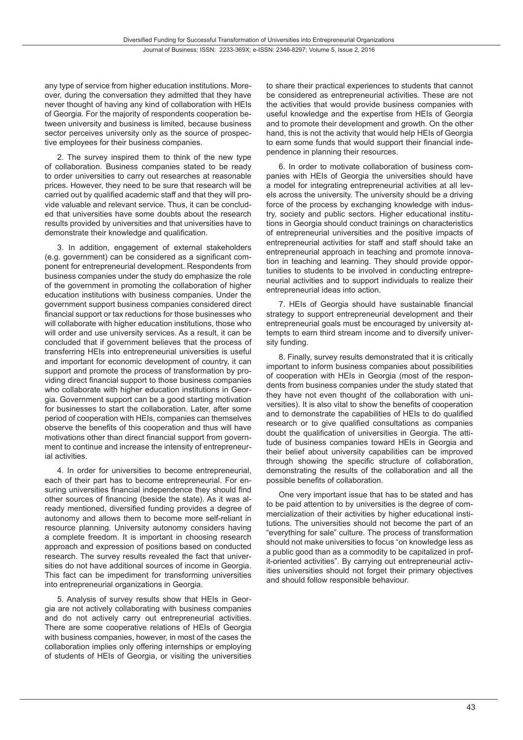any type of service from higher education institutions. Moreover, during the conversation they admitted that they have never thought of having any kind of collaboration with HEIs of Georgia. For the majority of respondents cooperation between university and business is limited, because business sector perceives university only as the source of prospective employees for their business companies.

2. The survey inspired them to think of the new type of collaboration. Business companies stated to be ready to order universities to carry out researches at reasonable prices. However, they need to be sure that research will be carried out by qualified academic staff and that they will provide valuable and relevant service. Thus, it can be concluded that universities have some doubts about the research results provided by universities and that universities have to demonstrate their knowledge and qualification.

3. In addition, engagement of external stakeholders (e.g. government) can be considered as a significant component for entrepreneurial development. Respondents from business companies under the study do emphasize the role of the government in promoting the collaboration of higher education institutions with business companies. Under the government support business companies considered direct financial support or tax reductions for those businesses who will collaborate with higher education institutions, those who will order and use university services. As a result, it can be concluded that if government believes that the process of transferring HEIs into entrepreneurial universities is useful and important for economic development of country, it can support and promote the process of transformation by providing direct financial support to those business companies who collaborate with higher education institutions in Georgia. Government support can be a good starting motivation for businesses to start the collaboration. Later, after some period of cooperation with HEIs, companies can themselves observe the benefits of this cooperation and thus will have motivations other than direct financial support from government to continue and increase the intensity of entrepreneurial activities.

4. In order for universities to become entrepreneurial, each of their part has to become entrepreneurial. For ensuring universities financial independence they should find other sources of financing (beside the state). As it was already mentioned, diversified funding provides a degree of autonomy and allows them to become more self-reliant in resource planning. University autonomy considers having a complete freedom. It is important in choosing research approach and expression of positions based on conducted research. The survey results revealed the fact that universities do not have additional sources of income in Georgia. This fact can be impediment for transforming universities into entrepreneurial organizations in Georgia.

5. Analysis of survey results show that HEIs in Georgia are not actively collaborating with business companies and do not actively carry out entrepreneurial activities. There are some cooperative relations of HEIs of Georgia with business companies, however, in most of the cases the collaboration implies only offering internships or employing of students of HEIs of Georgia, or visiting the universities

to share their practical experiences to students that cannot be considered as entrepreneurial activities. These are not the activities that would provide business companies with useful knowledge and the expertise from HEIs of Georgia and to promote their development and growth. On the other hand, this is not the activity that would help HEIs of Georgia to earn some funds that would support their financial independence in planning their resources.

6. In order to motivate collaboration of business companies with HEIs of Georgia the universities should have a model for integrating entrepreneurial activities at all levels across the university. The university should be a driving force of the process by exchanging knowledge with industry, society and public sectors. Higher educational institutions in Georgia should conduct trainings on characteristics of entrepreneurial universities and the positive impacts of entrepreneurial activities for staff and staff should take an entrepreneurial approach in teaching and promote innovation in teaching and learning. They should provide opportunities to students to be involved in conducting entrepreneurial activities and to support individuals to realize their entrepreneurial ideas into action.

7. HEIs of Georgia should have sustainable financial strategy to support entrepreneurial development and their entrepreneurial goals must be encouraged by university attempts to earn third stream income and to diversify university funding.

8. Finally, survey results demonstrated that it is critically important to inform business companies about possibilities of cooperation with HEIs in Georgia (most of the respondents from business companies under the study stated that they have not even thought of the collaboration with universities). It is also vital to show the benefits of cooperation and to demonstrate the capabilities of HEIs to do qualified research or to give qualified consultations as companies doubt the qualification of universities in Georgia. The attitude of business companies toward HEIs in Georgia and their belief about university capabilities can be improved through showing the specific structure of collaboration, demonstrating the results of the collaboration and all the possible benefits of collaboration.

One very important issue that has to be stated and has to be paid attention to by universities is the degree of commercialization of their activities by higher educational institutions. The universities should not become the part of an "everything for sale" culture. The process of transformation should not make universities to focus "on knowledge less as a public good than as a commodity to be capitalized in profit-oriented activities". By carrying out entrepreneurial activities universities should not forget their primary objectives and should follow responsible behaviour.